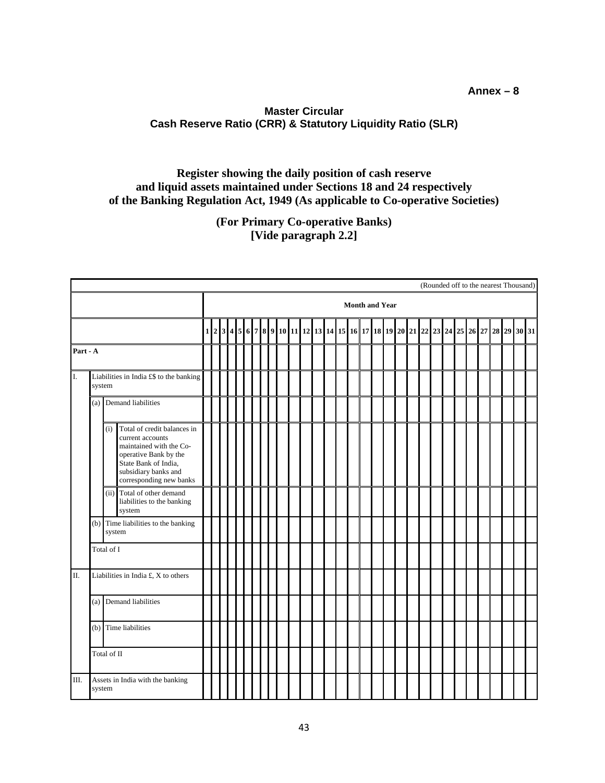## **Annex – 8**

## **Master Circular Cash Reserve Ratio (CRR) & Statutory Liquidity Ratio (SLR)**

## **Register showing the daily position of cash reserve and liquid assets maintained under Sections 18 and 24 respectively of the Banking Regulation Act, 1949 (As applicable to Co-operative Societies)**

**(For Primary Co-operative Banks) [Vide paragraph 2.2]**

|          |                                                   |                        |                                                                                                                                                                                |                                                                                                   |  |  |  |  |  |  |  |  |  |  |  |  |  |  |  |  |  |  |  |  |  | (Rounded off to the nearest Thousand) |  |
|----------|---------------------------------------------------|------------------------|--------------------------------------------------------------------------------------------------------------------------------------------------------------------------------|---------------------------------------------------------------------------------------------------|--|--|--|--|--|--|--|--|--|--|--|--|--|--|--|--|--|--|--|--|--|---------------------------------------|--|
|          |                                                   |                        |                                                                                                                                                                                | <b>Month and Year</b><br>$2 3 4 5 6 7 8 9 10 11 12 13 14 15 16 17 18 19 20 21 22 23 24 25 26 27 $ |  |  |  |  |  |  |  |  |  |  |  |  |  |  |  |  |  |  |  |  |  |                                       |  |
|          |                                                   |                        |                                                                                                                                                                                | $\mathbf 1$                                                                                       |  |  |  |  |  |  |  |  |  |  |  |  |  |  |  |  |  |  |  |  |  | 28 29 30 31                           |  |
| Part - A |                                                   |                        |                                                                                                                                                                                |                                                                                                   |  |  |  |  |  |  |  |  |  |  |  |  |  |  |  |  |  |  |  |  |  |                                       |  |
| I.       | Liabilities in India £\$ to the banking<br>system |                        |                                                                                                                                                                                |                                                                                                   |  |  |  |  |  |  |  |  |  |  |  |  |  |  |  |  |  |  |  |  |  |                                       |  |
|          |                                                   | (a) Demand liabilities |                                                                                                                                                                                |                                                                                                   |  |  |  |  |  |  |  |  |  |  |  |  |  |  |  |  |  |  |  |  |  |                                       |  |
|          |                                                   | (i)                    | Total of credit balances in<br>current accounts<br>maintained with the Co-<br>operative Bank by the<br>State Bank of India,<br>subsidiary banks and<br>corresponding new banks |                                                                                                   |  |  |  |  |  |  |  |  |  |  |  |  |  |  |  |  |  |  |  |  |  |                                       |  |
|          |                                                   |                        | (ii) Total of other demand<br>liabilities to the banking<br>system                                                                                                             |                                                                                                   |  |  |  |  |  |  |  |  |  |  |  |  |  |  |  |  |  |  |  |  |  |                                       |  |
|          |                                                   |                        | (b) Time liabilities to the banking<br>system                                                                                                                                  |                                                                                                   |  |  |  |  |  |  |  |  |  |  |  |  |  |  |  |  |  |  |  |  |  |                                       |  |
|          | Total of I                                        |                        |                                                                                                                                                                                |                                                                                                   |  |  |  |  |  |  |  |  |  |  |  |  |  |  |  |  |  |  |  |  |  |                                       |  |
| II.      | Liabilities in India £, X to others               |                        |                                                                                                                                                                                |                                                                                                   |  |  |  |  |  |  |  |  |  |  |  |  |  |  |  |  |  |  |  |  |  |                                       |  |
|          |                                                   |                        | (a) Demand liabilities                                                                                                                                                         |                                                                                                   |  |  |  |  |  |  |  |  |  |  |  |  |  |  |  |  |  |  |  |  |  |                                       |  |
|          |                                                   |                        | (b) Time liabilities                                                                                                                                                           |                                                                                                   |  |  |  |  |  |  |  |  |  |  |  |  |  |  |  |  |  |  |  |  |  |                                       |  |
|          | Total of II                                       |                        |                                                                                                                                                                                |                                                                                                   |  |  |  |  |  |  |  |  |  |  |  |  |  |  |  |  |  |  |  |  |  |                                       |  |
| Ш.       |                                                   | system                 | Assets in India with the banking                                                                                                                                               |                                                                                                   |  |  |  |  |  |  |  |  |  |  |  |  |  |  |  |  |  |  |  |  |  |                                       |  |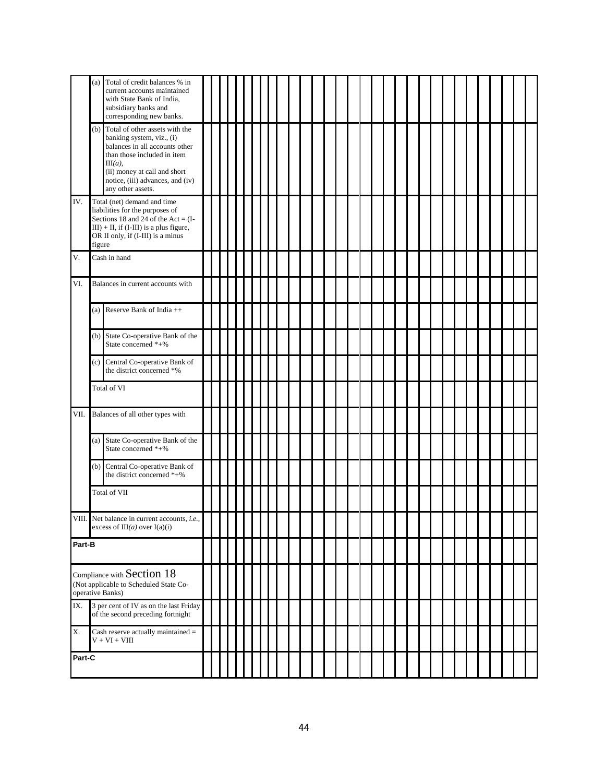|        | Total of credit balances % in<br>(a)<br>current accounts maintained<br>with State Bank of India,<br>subsidiary banks and<br>corresponding new banks.                                                                                    |  |  |  |  |  |  |  |  |  |  |  |
|--------|-----------------------------------------------------------------------------------------------------------------------------------------------------------------------------------------------------------------------------------------|--|--|--|--|--|--|--|--|--|--|--|
|        | (b) Total of other assets with the<br>banking system, viz., (i)<br>balances in all accounts other<br>than those included in item<br>$III(a)$ ,<br>(ii) money at call and short<br>notice, (iii) advances, and (iv)<br>any other assets. |  |  |  |  |  |  |  |  |  |  |  |
| IV.    | Total (net) demand and time<br>liabilities for the purposes of<br>Sections 18 and 24 of the Act = $(I -$<br>$III$ ) + II, if (I-III) is a plus figure,<br>OR II only, if (I-III) is a minus<br>figure                                   |  |  |  |  |  |  |  |  |  |  |  |
| V.     | Cash in hand                                                                                                                                                                                                                            |  |  |  |  |  |  |  |  |  |  |  |
| VI.    | Balances in current accounts with                                                                                                                                                                                                       |  |  |  |  |  |  |  |  |  |  |  |
|        | (a) Reserve Bank of India $++$                                                                                                                                                                                                          |  |  |  |  |  |  |  |  |  |  |  |
|        | (b) State Co-operative Bank of the<br>State concerned *+%                                                                                                                                                                               |  |  |  |  |  |  |  |  |  |  |  |
|        | Central Co-operative Bank of<br>(c)<br>the district concerned *%                                                                                                                                                                        |  |  |  |  |  |  |  |  |  |  |  |
|        | Total of VI                                                                                                                                                                                                                             |  |  |  |  |  |  |  |  |  |  |  |
|        | VII. Balances of all other types with                                                                                                                                                                                                   |  |  |  |  |  |  |  |  |  |  |  |
|        | (a) State Co-operative Bank of the<br>State concerned *+%                                                                                                                                                                               |  |  |  |  |  |  |  |  |  |  |  |
|        | (b) Central Co-operative Bank of<br>the district concerned *+%                                                                                                                                                                          |  |  |  |  |  |  |  |  |  |  |  |
|        | Total of VII                                                                                                                                                                                                                            |  |  |  |  |  |  |  |  |  |  |  |
|        | VIII. Net balance in current accounts, <i>i.e.</i> ,<br>excess of $III(a)$ over $I(a)(i)$                                                                                                                                               |  |  |  |  |  |  |  |  |  |  |  |
| Part-B |                                                                                                                                                                                                                                         |  |  |  |  |  |  |  |  |  |  |  |
|        | Compliance with Section 18<br>(Not applicable to Scheduled State Co-<br>operative Banks)                                                                                                                                                |  |  |  |  |  |  |  |  |  |  |  |
| IX.    | 3 per cent of IV as on the last Friday<br>of the second preceding fortnight                                                                                                                                                             |  |  |  |  |  |  |  |  |  |  |  |
| X.     | Cash reserve actually maintained =<br>$V + VI + VIII$                                                                                                                                                                                   |  |  |  |  |  |  |  |  |  |  |  |
| Part-C |                                                                                                                                                                                                                                         |  |  |  |  |  |  |  |  |  |  |  |